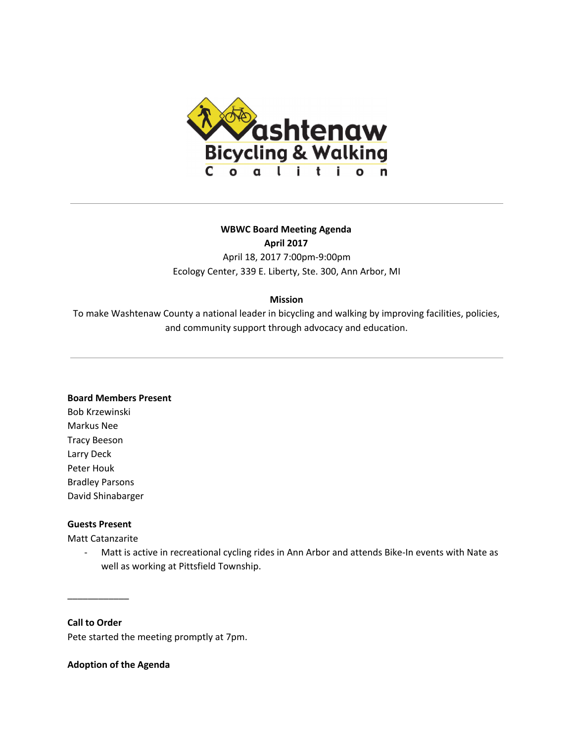

# **WBWC Board Meeting Agenda**

**April 2017**

April 18, 2017 7:00pm-9:00pm Ecology Center, 339 E. Liberty, Ste. 300, Ann Arbor, MI

# **Mission**

To make Washtenaw County a national leader in bicycling and walking by improving facilities, policies, and community support through advocacy and education.

## **Board Members Present**

Bob Krzewinski Markus Nee Tracy Beeson Larry Deck Peter Houk Bradley Parsons David Shinabarger

## **Guests Present**

Matt Catanzarite

- Matt is active in recreational cycling rides in Ann Arbor and attends Bike-In events with Nate as well as working at Pittsfield Township.

**Call to Order**

\_\_\_\_\_\_\_\_\_\_\_\_

Pete started the meeting promptly at 7pm.

**Adoption of the Agenda**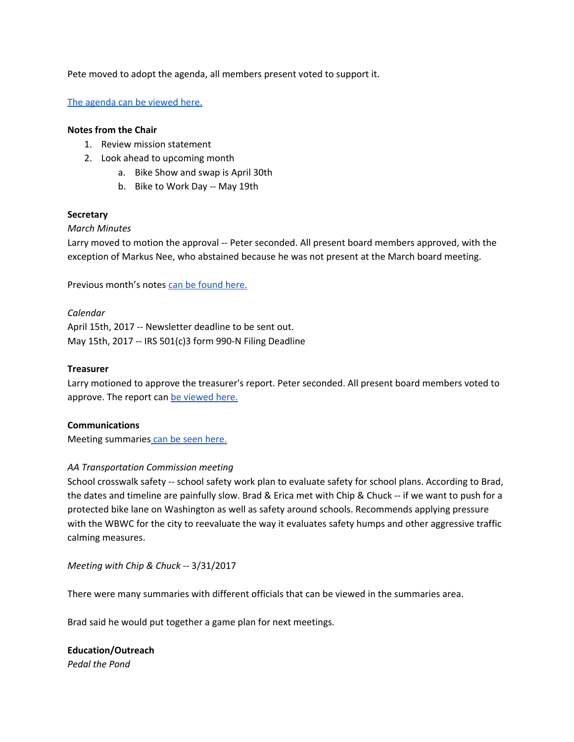Pete moved to adopt the agenda, all members present voted to support it.

The [agenda](https://docs.google.com/document/d/1kNC0FgJvRqs8hjWYIKaMSh1fkeOaG7TAZIjOQ9UdWIU/edit?ts=58f7e595) can be viewed here.

#### **Notes from the Chair**

- 1. Review mission statement
- 2. Look ahead to upcoming month
	- a. Bike Show and swap is April 30th
	- b. Bike to Work Day -- May 19th

## **Secretary**

## *March Minutes*

Larry moved to motion the approval -- Peter seconded. All present board members approved, with the exception of Markus Nee, who abstained because he was not present at the March board meeting.

Previous month's notes can be [found](https://docs.google.com/document/d/1eczcPfnAiePBfUIQFZm-1ip4O6otiOnhMgtop3J77F8/edit?usp=sharing) here.

*Calendar* April 15th, 2017 -- Newsletter deadline to be sent out. May 15th, 2017 -- IRS 501(c)3 form 990-N Filing Deadline

## **Treasurer**

Larry motioned to approve the treasurer's report. Peter seconded. All present board members voted to approve. The report can be [viewed](https://docs.google.com/viewer?a=v&pid=forums&srcid=MDg4NDQ1NjExNjc4MjU5NTE3MDABMTY0Njg3NzU1ODU0Mjc0MDU1NjIBSk5Cc01lZ3hCUUFKATAuMQEBdjI) here.

## **Communications**

Meeting summaries can be seen [here.](https://docs.google.com/document/d/13JKOoEkC_s5brY1E84vb4JvKvGO8HYILc2hgAmiaReQ/edit?usp=sharing)

## *AA Transportation Commission meeting*

School crosswalk safety -- school safety work plan to evaluate safety for school plans. According to Brad, the dates and timeline are painfully slow. Brad & Erica met with Chip & Chuck -- if we want to push for a protected bike lane on Washington as well as safety around schools. Recommends applying pressure with the WBWC for the city to reevaluate the way it evaluates safety humps and other aggressive traffic calming measures.

*Meeting with Chip & Chuck --* 3/31/2017

There were many summaries with different officials that can be viewed in the summaries area.

Brad said he would put together a game plan for next meetings.

**Education/Outreach** *Pedal the Pond*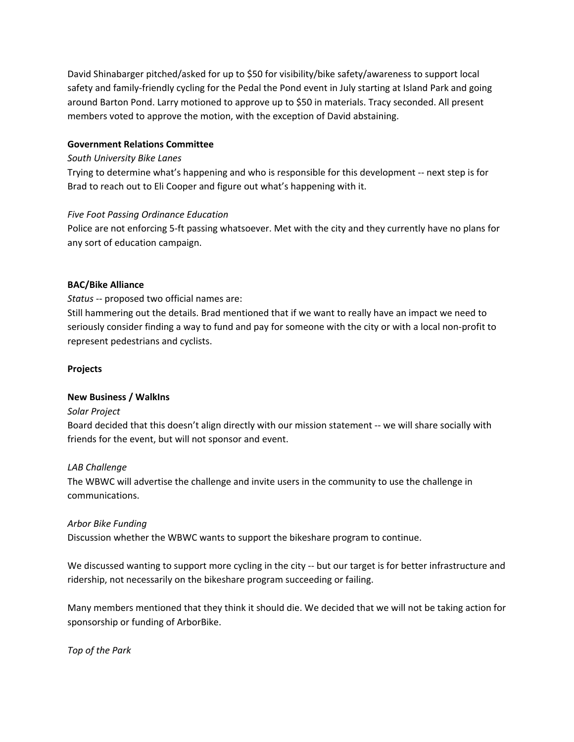David Shinabarger pitched/asked for up to \$50 for visibility/bike safety/awareness to support local safety and family-friendly cycling for the Pedal the Pond event in July starting at Island Park and going around Barton Pond. Larry motioned to approve up to \$50 in materials. Tracy seconded. All present members voted to approve the motion, with the exception of David abstaining.

## **Government Relations Committee**

## *South University Bike Lanes*

Trying to determine what's happening and who is responsible for this development -- next step is for Brad to reach out to Eli Cooper and figure out what's happening with it.

## *Five Foot Passing Ordinance Education*

Police are not enforcing 5-ft passing whatsoever. Met with the city and they currently have no plans for any sort of education campaign.

## **BAC/Bike Alliance**

*Status --* proposed two official names are:

Still hammering out the details. Brad mentioned that if we want to really have an impact we need to seriously consider finding a way to fund and pay for someone with the city or with a local non-profit to represent pedestrians and cyclists.

#### **Projects**

#### **New Business / WalkIns**

#### *Solar Project*

Board decided that this doesn't align directly with our mission statement -- we will share socially with friends for the event, but will not sponsor and event.

## *LAB Challenge*

The WBWC will advertise the challenge and invite users in the community to use the challenge in communications.

## *Arbor Bike Funding*

Discussion whether the WBWC wants to support the bikeshare program to continue.

We discussed wanting to support more cycling in the city -- but our target is for better infrastructure and ridership, not necessarily on the bikeshare program succeeding or failing.

Many members mentioned that they think it should die. We decided that we will not be taking action for sponsorship or funding of ArborBike.

*Top of the Park*